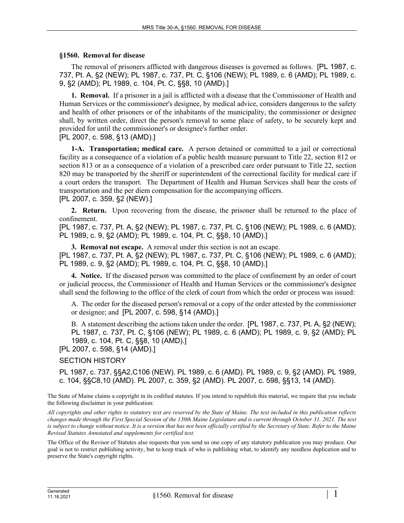## **§1560. Removal for disease**

The removal of prisoners afflicted with dangerous diseases is governed as follows. [PL 1987, c. 737, Pt. A, §2 (NEW); PL 1987, c. 737, Pt. C, §106 (NEW); PL 1989, c. 6 (AMD); PL 1989, c. 9, §2 (AMD); PL 1989, c. 104, Pt. C, §§8, 10 (AMD).]

**1. Removal.** If a prisoner in a jail is afflicted with a disease that the Commissioner of Health and Human Services or the commissioner's designee, by medical advice, considers dangerous to the safety and health of other prisoners or of the inhabitants of the municipality, the commissioner or designee shall, by written order, direct the person's removal to some place of safety, to be securely kept and provided for until the commissioner's or designee's further order. [PL 2007, c. 598, §13 (AMD).]

**1-A. Transportation; medical care.** A person detained or committed to a jail or correctional facility as a consequence of a violation of a public health measure pursuant to Title 22, section 812 or section 813 or as a consequence of a violation of a prescribed care order pursuant to Title 22, section 820 may be transported by the sheriff or superintendent of the correctional facility for medical care if a court orders the transport. The Department of Health and Human Services shall bear the costs of transportation and the per diem compensation for the accompanying officers.

## [PL 2007, c. 359, §2 (NEW).]

**2. Return.** Upon recovering from the disease, the prisoner shall be returned to the place of confinement.

[PL 1987, c. 737, Pt. A, §2 (NEW); PL 1987, c. 737, Pt. C, §106 (NEW); PL 1989, c. 6 (AMD); PL 1989, c. 9, §2 (AMD); PL 1989, c. 104, Pt. C, §§8, 10 (AMD).]

**3. Removal not escape.** A removal under this section is not an escape. [PL 1987, c. 737, Pt. A, §2 (NEW); PL 1987, c. 737, Pt. C, §106 (NEW); PL 1989, c. 6 (AMD); PL 1989, c. 9, §2 (AMD); PL 1989, c. 104, Pt. C, §§8, 10 (AMD).]

**4. Notice.** If the diseased person was committed to the place of confinement by an order of court or judicial process, the Commissioner of Health and Human Services or the commissioner's designee shall send the following to the office of the clerk of court from which the order or process was issued:

A. The order for the diseased person's removal or a copy of the order attested by the commissioner or designee; and [PL 2007, c. 598, §14 (AMD).]

B. A statement describing the actions taken under the order. [PL 1987, c. 737, Pt. A, §2 (NEW); PL 1987, c. 737, Pt. C, §106 (NEW); PL 1989, c. 6 (AMD); PL 1989, c. 9, §2 (AMD); PL 1989, c. 104, Pt. C, §§8, 10 (AMD).]

[PL 2007, c. 598, §14 (AMD).]

## SECTION HISTORY

PL 1987, c. 737, §§A2,C106 (NEW). PL 1989, c. 6 (AMD). PL 1989, c. 9, §2 (AMD). PL 1989, c. 104, §§C8,10 (AMD). PL 2007, c. 359, §2 (AMD). PL 2007, c. 598, §§13, 14 (AMD).

The State of Maine claims a copyright in its codified statutes. If you intend to republish this material, we require that you include the following disclaimer in your publication:

*All copyrights and other rights to statutory text are reserved by the State of Maine. The text included in this publication reflects changes made through the First Special Session of the 130th Maine Legislature and is current through October 31, 2021. The text*  is subject to change without notice. It is a version that has not been officially certified by the Secretary of State. Refer to the Maine *Revised Statutes Annotated and supplements for certified text.*

The Office of the Revisor of Statutes also requests that you send us one copy of any statutory publication you may produce. Our goal is not to restrict publishing activity, but to keep track of who is publishing what, to identify any needless duplication and to preserve the State's copyright rights.